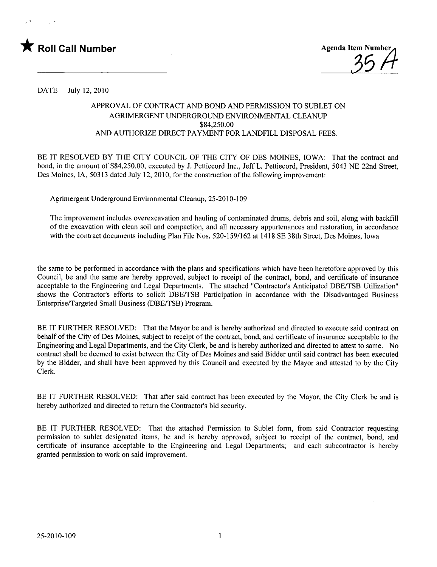



DATE July 12,2010

## APPROVAL OF CONTRACT AND BOND AND PERMISSION TO SUBLET ON AGRIMERGENT UNDERGROUND ENVIRONMENTAL CLEANUP \$84,250.00 AND AUTHORIZE DIRECT PAYMENT FOR LANDFILL DISPOSAL FEES.

BE IT RESOLVED BY THE CITY COUNCIL OF THE CITY OF DES MOINES, IOWA: That the contract and bond, in the amount of \$84,250.00, executed by 1. Pettiecord Inc., Jeff L. Pettiecord, President, 5043 NE 22nd Street, Des Moines, lA, 50313 dated July 12, 2010, for the construction of the following improvement:

Agrimergent Underground Environmental Cleanup, 25-2010-109

The improvement includes overexcavation and hauling of contaminated drums, debris and soil, along with backfill of the excavation with clean soil and compaction, and all necessary appurtenances and restoration, in accordance with the contract documents including Plan File Nos. 520-159/162 at 1418 SE 38th Street, Des Moines, Iowa

the same to be performed in accordance with the plans and specifications which have been heretofore approved by this Council, be and the same are hereby approved, subject to receipt of the contract, bond, and certificate of insurance acceptable to the Engineering and Legal Departments. The attached "Contractor's Anticipated DBE/TSB Utilization" shows the Contractor's efforts to solicit DBE/TSB Participation in accordance with the Disadvantaged Business Enterprise/Targeted Small Business (DBE/TSB) Program.

BE IT FURTHER RESOLVED: That the Mayor be and is hereby authorized and directed to execute said contract on behalf of the City of Des Moines, subject to receipt of the contract, bond, and certificate of insurance acceptable to the Engineering and Legal Departments, and the City Clerk, be and is hereby authorized and directed to attest to same. No contract shall be deemed to exist between the City of Des Moines and said Bidder until said contract has been executed by the Bidder, and shall have been approved by this Council and executed by the Mayor and attested to by the City Clerk.

BE IT FURTHER RESOLVED: That after said contract has been executed by the Mayor, the City Clerk be and is hereby authorized and directed to return the Contractor's bid security.

BE IT FURTHER RESOLVED: That the attached Permission to Sublet form, from said Contractor requesting permission to sublet designated items, be and is hereby approved, subject to receipt of the contract, bond, and certificate of insurance acceptable to the Engineering and Legal Departments; and each subcontractor is hereby granted permission to work on said improvement.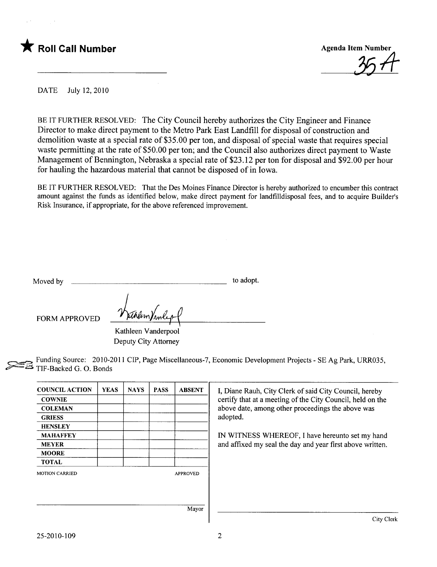



DATE July 12, 2010

BE IT FURTHER RESOLVED: The City Council hereby authorizes the City Engineer and Finance Director to make direct payment to the Metro Park East Landfill for disposal of construction and demolition waste at a special rate of \$35.00 per ton, and disposal of special waste that requires special waste permitting at the rate of \$50.00 per ton; and the Council also authorizes direct payment to Waste Management of Bennington, Nebraska a special rate of \$23.12 per ton for disposal and \$92.00 per hour for hauling the hazardous material that cannot be disposed of in Iowa.

BE IT FURTHER RESOLVED: That the Des Moines Finance Director is hereby authorized to encumber this contract amount against the funds as identified below, make direct payment for landfilldisposal fees, and to acquire Builder's Risk Insurance, if appropriate, for the above referenced improvement.

| Moved by<br>to adopt. |
|-----------------------|
|-----------------------|

FORM APPROVED <u>Numerando</u>f

Kathleen Vanderpool Deputy City Attorney

~ Funding Source: 2010-2011 CIP, Page Miscellaneous-7, Economic Development Projects - SE Ag Park, URR035, TIF-Backed G. O. Bonds

| <b>COUNCIL ACTION</b> | <b>YEAS</b> | <b>NAYS</b> | <b>PASS</b> | <b>ABSENT</b>   | I, Diane Rauh, City Clerk of said City Council, hereby        |  |
|-----------------------|-------------|-------------|-------------|-----------------|---------------------------------------------------------------|--|
| <b>COWNIE</b>         |             |             |             |                 | certify that at a meeting of the City Council, held on the    |  |
| <b>COLEMAN</b>        |             |             |             |                 | above date, among other proceedings the above was<br>adopted. |  |
| <b>GRIESS</b>         |             |             |             |                 |                                                               |  |
| <b>HENSLEY</b>        |             |             |             |                 |                                                               |  |
| <b>MAHAFFEY</b>       |             |             |             |                 | IN WITNESS WHEREOF, I have hereunto set my hand               |  |
| <b>MEYER</b>          |             |             |             |                 | and affixed my seal the day and year first above written.     |  |
| <b>MOORE</b>          |             |             |             |                 |                                                               |  |
| <b>TOTAL</b>          |             |             |             |                 |                                                               |  |
| <b>MOTION CARRIED</b> |             |             |             | <b>APPROVED</b> |                                                               |  |
|                       |             |             |             |                 |                                                               |  |
|                       |             |             |             |                 |                                                               |  |
|                       |             |             |             | Mayor           |                                                               |  |
|                       |             |             |             |                 | City Clerk                                                    |  |